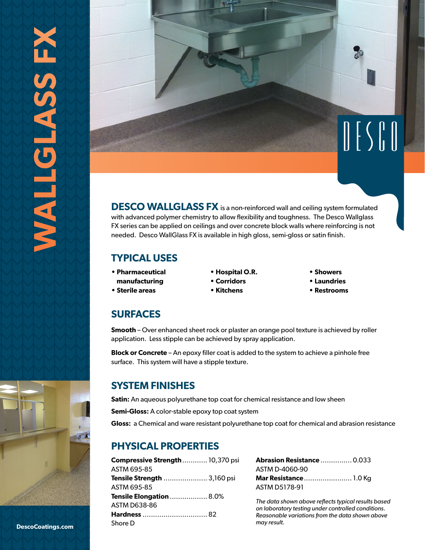

**DESCO WALLGLASS FX** is a non-reinforced wall and ceiling system formulated with advanced polymer chemistry to allow flexibility and toughness. The Desco Wallglass FX series can be applied on ceilings and over concrete block walls where reinforcing is not needed. Desco WallGlass FX is available in high gloss, semi-gloss or satin finish.

### **TYPICAL USES**

- **Pharmaceutical**
- **manufacturing**
- **Sterile areas**
- **Hospital O.R.**
- **Corridors**
- **Kitchens**
- **Showers**
- **Laundries**
- **Restrooms**

### **SURFACES**

**Smooth** – Over enhanced sheet rock or plaster an orange pool texture is achieved by roller application. Less stipple can be achieved by spray application.

**Block or Concrete** – An epoxy filler coat is added to the system to achieve a pinhole free surface. This system will have a stipple texture.

### **SYSTEM FINISHES**

**Satin:** An aqueous polyurethane top coat for chemical resistance and low sheen

**Semi-Gloss:** A color-stable epoxy top coat system

**Gloss:** a Chemical and ware resistant polyurethane top coat for chemical and abrasion resistance

# **PHYSICAL PROPERTIES**

| Compressive Strength  10,370 psi |  |
|----------------------------------|--|
| ASTM 695-85                      |  |
| Tensile Strength  3,160 psi      |  |
| ASTM 695-85                      |  |
| <b>Tensile Elongation  8.0%</b>  |  |
| ASTM D638-86                     |  |
|                                  |  |
| Shore D                          |  |

| <b>Abrasion Resistance  0.033</b> |  |
|-----------------------------------|--|
| ASTM D-4060-90                    |  |
|                                   |  |
| ASTM D5178-91                     |  |

*The data shown above reflects typical results based on laboratory testing under controlled conditions. Reasonable variations from the data shown above may result.*